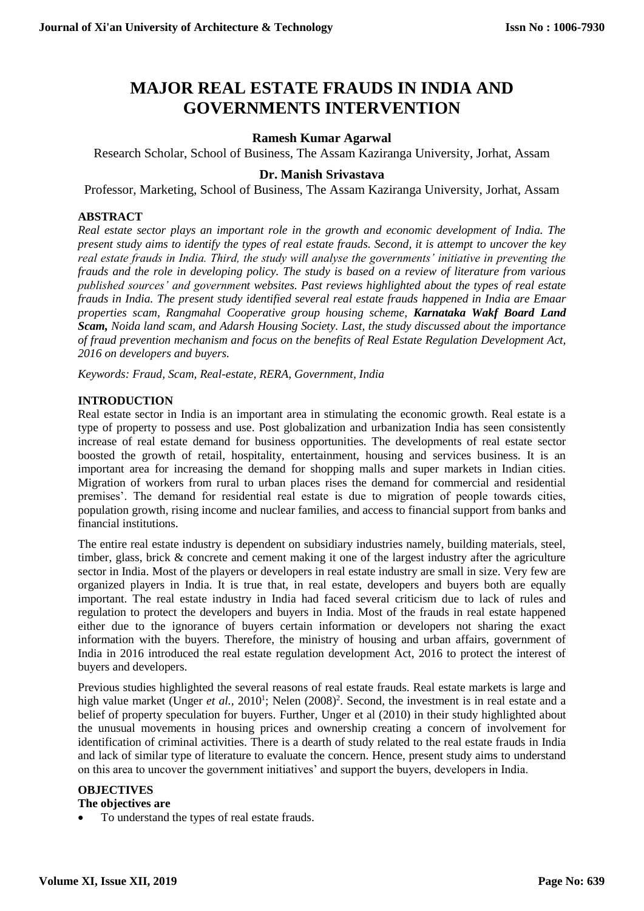# **MAJOR REAL ESTATE FRAUDS IN INDIA AND GOVERNMENTS INTERVENTION**

# **Ramesh Kumar Agarwal**

Research Scholar, School of Business, The Assam Kaziranga University, Jorhat, Assam

## **Dr. Manish Srivastava**

Professor, Marketing, School of Business, The Assam Kaziranga University, Jorhat, Assam

## **ABSTRACT**

*Real estate sector plays an important role in the growth and economic development of India. The present study aims to identify the types of real estate frauds. Second, it is attempt to uncover the key real estate frauds in India. Third, the study will analyse the governments' initiative in preventing the frauds and the role in developing policy. The study is based on a review of literature from various published sources' and government websites. Past reviews highlighted about the types of real estate frauds in India. The present study identified several real estate frauds happened in India are Emaar properties scam, Rangmahal Cooperative group housing scheme, Karnataka Wakf Board Land Scam, Noida land scam, and Adarsh Housing Society. Last, the study discussed about the importance of fraud prevention mechanism and focus on the benefits of Real Estate Regulation Development Act, 2016 on developers and buyers.*

*Keywords: Fraud, Scam, Real-estate, RERA, Government, India*

## **INTRODUCTION**

Real estate sector in India is an important area in stimulating the economic growth. Real estate is a type of property to possess and use. Post globalization and urbanization India has seen consistently increase of real estate demand for business opportunities. The developments of real estate sector boosted the growth of retail, hospitality, entertainment, housing and services business. It is an important area for increasing the demand for shopping malls and super markets in Indian cities. Migration of workers from rural to urban places rises the demand for commercial and residential premises'. The demand for residential real estate is due to migration of people towards cities, population growth, rising income and nuclear families, and access to financial support from banks and financial institutions.

The entire real estate industry is dependent on subsidiary industries namely, building materials, steel, timber, glass, brick & concrete and cement making it one of the largest industry after the agriculture sector in India. Most of the players or developers in real estate industry are small in size. Very few are organized players in India. It is true that, in real estate, developers and buyers both are equally important. The real estate industry in India had faced several criticism due to lack of rules and regulation to protect the developers and buyers in India. Most of the frauds in real estate happened either due to the ignorance of buyers certain information or developers not sharing the exact information with the buyers. Therefore, the ministry of housing and urban affairs, government of India in 2016 introduced the real estate regulation development Act, 2016 to protect the interest of buyers and developers.

Previous studies highlighted the several reasons of real estate frauds. Real estate markets is large and high value market (Unger *et al.*, 2010<sup>1</sup>; Nelen (2008)<sup>2</sup>. Second, the investment is in real estate and a belief of property speculation for buyers. Further, Unger et al (2010) in their study highlighted about the unusual movements in housing prices and ownership creating a concern of involvement for identification of criminal activities. There is a dearth of study related to the real estate frauds in India and lack of similar type of literature to evaluate the concern. Hence, present study aims to understand on this area to uncover the government initiatives' and support the buyers, developers in India.

#### **OBJECTIVES**

# **The objectives are**

To understand the types of real estate frauds.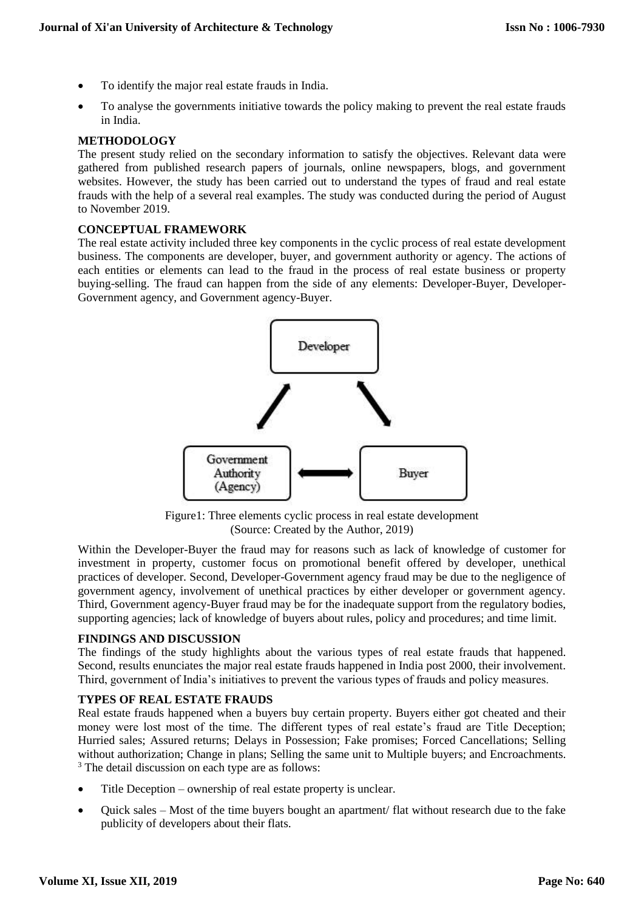- To identify the major real estate frauds in India.
- To analyse the governments initiative towards the policy making to prevent the real estate frauds in India.

#### **METHODOLOGY**

The present study relied on the secondary information to satisfy the objectives. Relevant data were gathered from published research papers of journals, online newspapers, blogs, and government websites. However, the study has been carried out to understand the types of fraud and real estate frauds with the help of a several real examples. The study was conducted during the period of August to November 2019.

#### **CONCEPTUAL FRAMEWORK**

The real estate activity included three key components in the cyclic process of real estate development business. The components are developer, buyer, and government authority or agency. The actions of each entities or elements can lead to the fraud in the process of real estate business or property buying-selling. The fraud can happen from the side of any elements: Developer-Buyer, Developer-Government agency, and Government agency-Buyer.



Figure1: Three elements cyclic process in real estate development (Source: Created by the Author, 2019)

Within the Developer-Buyer the fraud may for reasons such as lack of knowledge of customer for investment in property, customer focus on promotional benefit offered by developer, unethical practices of developer. Second, Developer-Government agency fraud may be due to the negligence of government agency, involvement of unethical practices by either developer or government agency. Third, Government agency-Buyer fraud may be for the inadequate support from the regulatory bodies, supporting agencies; lack of knowledge of buyers about rules, policy and procedures; and time limit.

#### **FINDINGS AND DISCUSSION**

The findings of the study highlights about the various types of real estate frauds that happened. Second, results enunciates the major real estate frauds happened in India post 2000, their involvement. Third, government of India's initiatives to prevent the various types of frauds and policy measures.

#### **TYPES OF REAL ESTATE FRAUDS**

Real estate frauds happened when a buyers buy certain property. Buyers either got cheated and their money were lost most of the time. The different types of real estate's fraud are Title Deception; Hurried sales; Assured returns; Delays in Possession; Fake promises; Forced Cancellations; Selling without authorization; Change in plans; Selling the same unit to Multiple buyers; and Encroachments. <sup>3</sup> The detail discussion on each type are as follows:

- Title Deception ownership of real estate property is unclear.
- Quick sales Most of the time buyers bought an apartment/ flat without research due to the fake publicity of developers about their flats.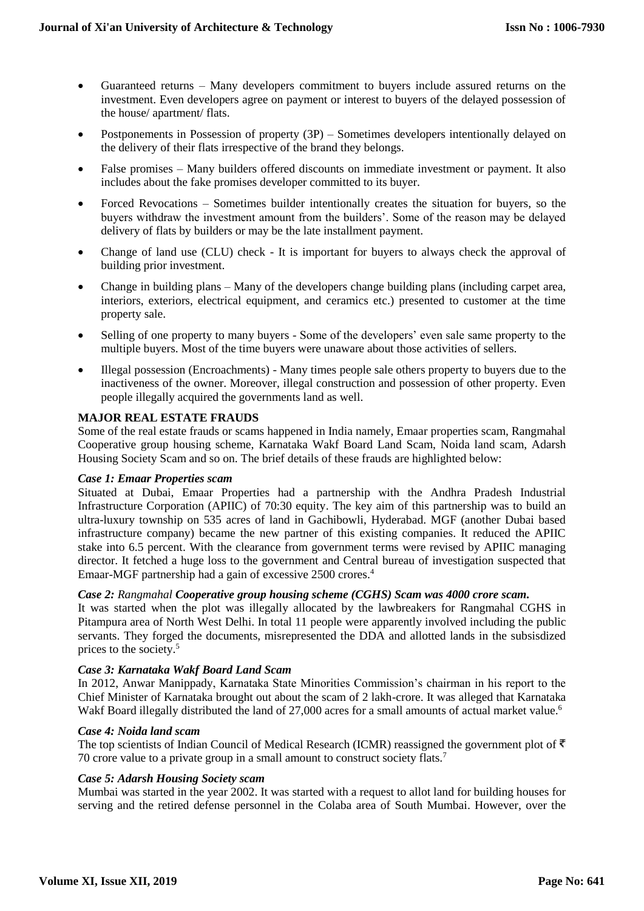- Guaranteed returns Many developers commitment to buyers include assured returns on the investment. Even developers agree on payment or interest to buyers of the delayed possession of the house/ apartment/ flats.
- Postponements in Possession of property (3P) Sometimes developers intentionally delayed on the delivery of their flats irrespective of the brand they belongs.
- False promises Many builders offered discounts on immediate investment or payment. It also includes about the fake promises developer committed to its buyer.
- Forced Revocations Sometimes builder intentionally creates the situation for buyers, so the buyers withdraw the investment amount from the builders'. Some of the reason may be delayed delivery of flats by builders or may be the late installment payment.
- Change of land use (CLU) check It is important for buyers to always check the approval of building prior investment.
- Change in building plans Many of the developers change building plans (including carpet area, interiors, exteriors, electrical equipment, and ceramics etc.) presented to customer at the time property sale.
- Selling of one property to many buyers Some of the developers' even sale same property to the multiple buyers. Most of the time buyers were unaware about those activities of sellers.
- Illegal possession (Encroachments) Many times people sale others property to buyers due to the inactiveness of the owner. Moreover, illegal construction and possession of other property. Even people illegally acquired the governments land as well.

## **MAJOR REAL ESTATE FRAUDS**

Some of the real estate frauds or scams happened in India namely, Emaar properties scam, Rangmahal Cooperative group housing scheme, Karnataka Wakf Board Land Scam, Noida land scam, Adarsh Housing Society Scam and so on. The brief details of these frauds are highlighted below:

#### *Case 1: Emaar Properties scam*

Situated at Dubai, Emaar Properties had a partnership with the Andhra Pradesh Industrial Infrastructure Corporation (APIIC) of 70:30 equity. The key aim of this partnership was to build an ultra-luxury township on 535 acres of land in Gachibowli, Hyderabad. MGF (another Dubai based infrastructure company) became the new partner of this existing companies. It reduced the APIIC stake into 6.5 percent. With the clearance from government terms were revised by APIIC managing director. It fetched a huge loss to the government and Central bureau of investigation suspected that Emaar-MGF partnership had a gain of excessive 2500 crores.<sup>4</sup>

#### *Case 2: Rangmahal Cooperative group housing scheme (CGHS) Scam was 4000 crore scam.*

It was started when the plot was illegally allocated by the lawbreakers for Rangmahal CGHS in Pitampura area of North West Delhi. In total 11 people were apparently involved including the public servants. They forged the documents, misrepresented the DDA and allotted lands in the subsisdized prices to the society.<sup>5</sup>

#### *Case 3: Karnataka Wakf Board Land Scam*

In 2012, Anwar Manippady, Karnataka State Minorities Commission's chairman in his report to the Chief Minister of Karnataka brought out about the scam of 2 lakh-crore. It was alleged that Karnataka Wakf Board illegally distributed the land of 27,000 acres for a small amounts of actual market value.<sup>6</sup>

#### *Case 4: Noida land scam*

The top scientists of Indian Council of Medical Research (ICMR) reassigned the government plot of  $\overline{\xi}$ 70 crore value to a private group in a small amount to construct society flats.<sup>7</sup>

#### *Case 5: Adarsh Housing Society scam*

Mumbai was started in the year 2002. It was started with a request to allot land for building houses for serving and the retired defense personnel in the Colaba area of South Mumbai. However, over the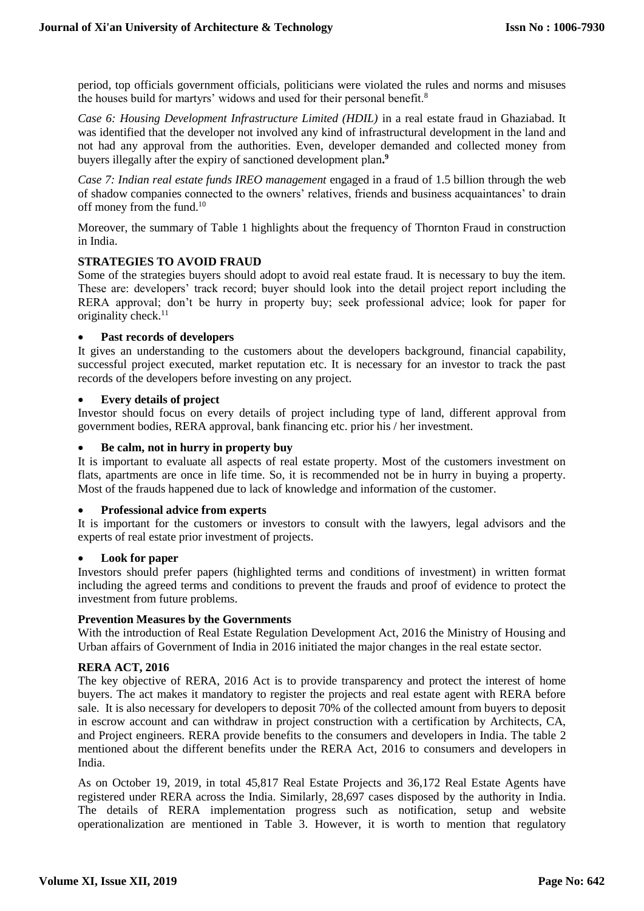period, top officials government officials, politicians were violated the rules and norms and misuses the houses build for martyrs' widows and used for their personal benefit.<sup>8</sup>

*Case 6: Housing Development Infrastructure Limited (HDIL)* in a real estate fraud in Ghaziabad. It was identified that the developer not involved any kind of infrastructural development in the land and not had any approval from the authorities. Even, developer demanded and collected money from buyers illegally after the expiry of sanctioned development plan**. 9**

*Case 7: Indian real estate funds IREO management* engaged in a fraud of 1.5 billion through the web of shadow companies connected to the owners' relatives, friends and business acquaintances' to drain off money from the fund.<sup>10</sup>

Moreover, the summary of Table 1 highlights about the frequency of Thornton Fraud in construction in India.

## **STRATEGIES TO AVOID FRAUD**

Some of the strategies buyers should adopt to avoid real estate fraud. It is necessary to buy the item. These are: developers' track record; buyer should look into the detail project report including the RERA approval; don't be hurry in property buy; seek professional advice; look for paper for originality check.<sup>11</sup>

#### **Past records of developers**

It gives an understanding to the customers about the developers background, financial capability, successful project executed, market reputation etc. It is necessary for an investor to track the past records of the developers before investing on any project.

#### **Every details of project**

Investor should focus on every details of project including type of land, different approval from government bodies, RERA approval, bank financing etc. prior his / her investment.

#### **Be calm, not in hurry in property buy**

It is important to evaluate all aspects of real estate property. Most of the customers investment on flats, apartments are once in life time. So, it is recommended not be in hurry in buying a property. Most of the frauds happened due to lack of knowledge and information of the customer.

#### **Professional advice from experts**

It is important for the customers or investors to consult with the lawyers, legal advisors and the experts of real estate prior investment of projects.

#### **Look for paper**

Investors should prefer papers (highlighted terms and conditions of investment) in written format including the agreed terms and conditions to prevent the frauds and proof of evidence to protect the investment from future problems.

#### **Prevention Measures by the Governments**

With the introduction of Real Estate Regulation Development Act, 2016 the Ministry of Housing and Urban affairs of Government of India in 2016 initiated the major changes in the real estate sector.

#### **RERA ACT, 2016**

The key objective of RERA, 2016 Act is to provide transparency and protect the interest of home buyers. The act makes it mandatory to register the projects and real estate agent with RERA before sale. It is also necessary for developers to deposit 70% of the collected amount from buyers to deposit in escrow account and can withdraw in project construction with a certification by Architects, CA, and Project engineers. RERA provide benefits to the consumers and developers in India. The table 2 mentioned about the different benefits under the RERA Act, 2016 to consumers and developers in India.

As on October 19, 2019, in total 45,817 Real Estate Projects and 36,172 Real Estate Agents have registered under RERA across the India. Similarly, 28,697 cases disposed by the authority in India. The details of RERA implementation progress such as notification, setup and website operationalization are mentioned in Table 3. However, it is worth to mention that regulatory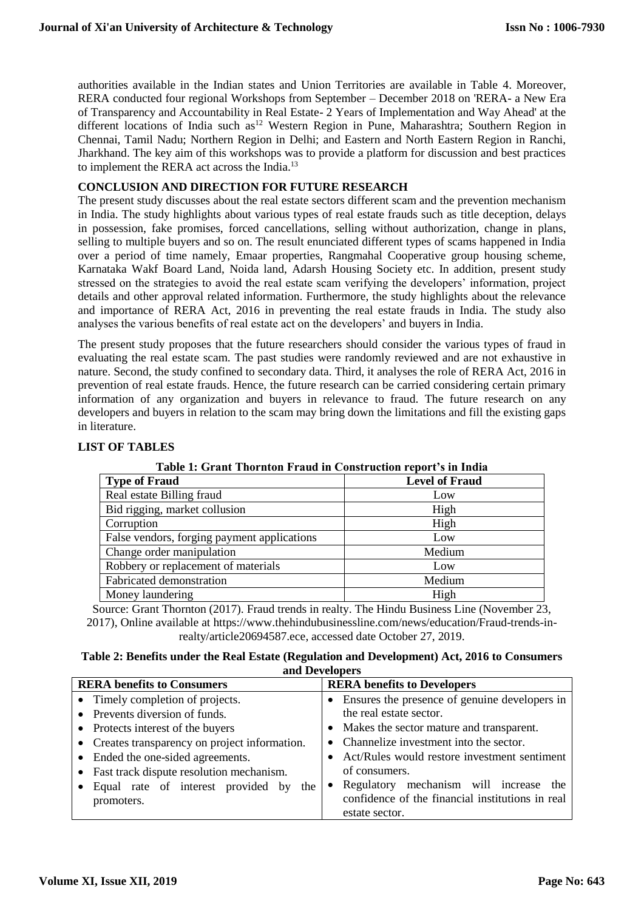authorities available in the Indian states and Union Territories are available in Table 4. Moreover, RERA conducted four regional Workshops from September – December 2018 on 'RERA- a New Era of Transparency and Accountability in Real Estate- 2 Years of Implementation and Way Ahead' at the different locations of India such as<sup>12</sup> Western Region in Pune, Maharashtra; Southern Region in Chennai, Tamil Nadu; Northern Region in Delhi; and Eastern and North Eastern Region in Ranchi, Jharkhand. The key aim of this workshops was to provide a platform for discussion and best practices to implement the RERA act across the India.<sup>13</sup>

#### **CONCLUSION AND DIRECTION FOR FUTURE RESEARCH**

The present study discusses about the real estate sectors different scam and the prevention mechanism in India. The study highlights about various types of real estate frauds such as title deception, delays in possession, fake promises, forced cancellations, selling without authorization, change in plans, selling to multiple buyers and so on. The result enunciated different types of scams happened in India over a period of time namely, Emaar properties, Rangmahal Cooperative group housing scheme, Karnataka Wakf Board Land, Noida land, Adarsh Housing Society etc. In addition, present study stressed on the strategies to avoid the real estate scam verifying the developers' information, project details and other approval related information. Furthermore, the study highlights about the relevance and importance of RERA Act, 2016 in preventing the real estate frauds in India. The study also analyses the various benefits of real estate act on the developers' and buyers in India.

The present study proposes that the future researchers should consider the various types of fraud in evaluating the real estate scam. The past studies were randomly reviewed and are not exhaustive in nature. Second, the study confined to secondary data. Third, it analyses the role of RERA Act, 2016 in prevention of real estate frauds. Hence, the future research can be carried considering certain primary information of any organization and buyers in relevance to fraud. The future research on any developers and buyers in relation to the scam may bring down the limitations and fill the existing gaps in literature.

| Table 1. Orant Thornton Fraud in Construction report 3 in India |                       |  |  |  |
|-----------------------------------------------------------------|-----------------------|--|--|--|
| <b>Type of Fraud</b>                                            | <b>Level of Fraud</b> |  |  |  |
| Real estate Billing fraud                                       | Low                   |  |  |  |
| Bid rigging, market collusion                                   | High                  |  |  |  |
| Corruption                                                      | High                  |  |  |  |
| False vendors, forging payment applications                     | Low                   |  |  |  |
| Change order manipulation                                       | Medium                |  |  |  |
| Robbery or replacement of materials                             | Low                   |  |  |  |
| Fabricated demonstration                                        | Medium                |  |  |  |
| Money laundering                                                | High                  |  |  |  |
|                                                                 |                       |  |  |  |

#### **LIST OF TABLES**

**Table 1: Grant Thornton Fraud in Construction report's in India**

Source: Grant Thornton (2017). Fraud trends in realty. The Hindu Business Line (November 23, 2017), Online available at [https://www.thehindubusinessline.com/news/education/Fraud-trends-in](https://www.thehindubusinessline.com/news/education/Fraud-trends-in-realty/article20694587.ece)[realty/article20694587.ece,](https://www.thehindubusinessline.com/news/education/Fraud-trends-in-realty/article20694587.ece) accessed date October 27, 2019.

| Table 2: Benefits under the Real Estate (Regulation and Development) Act, 2016 to Consumers |  |
|---------------------------------------------------------------------------------------------|--|
| and Developers                                                                              |  |

| <b>RERA</b> benefits to Consumers              | <b>RERA</b> benefits to Developers               |  |  |  |
|------------------------------------------------|--------------------------------------------------|--|--|--|
| • Timely completion of projects.               | Ensures the presence of genuine developers in    |  |  |  |
| • Prevents diversion of funds.                 | the real estate sector.                          |  |  |  |
| • Protects interest of the buyers              | • Makes the sector mature and transparent.       |  |  |  |
| • Creates transparency on project information. | • Channelize investment into the sector.         |  |  |  |
| • Ended the one-sided agreements.              | Act/Rules would restore investment sentiment     |  |  |  |
| • Fast track dispute resolution mechanism.     | of consumers.                                    |  |  |  |
| • Equal rate of interest provided by the       | • Regulatory mechanism will increase the         |  |  |  |
| promoters.                                     | confidence of the financial institutions in real |  |  |  |
|                                                | estate sector.                                   |  |  |  |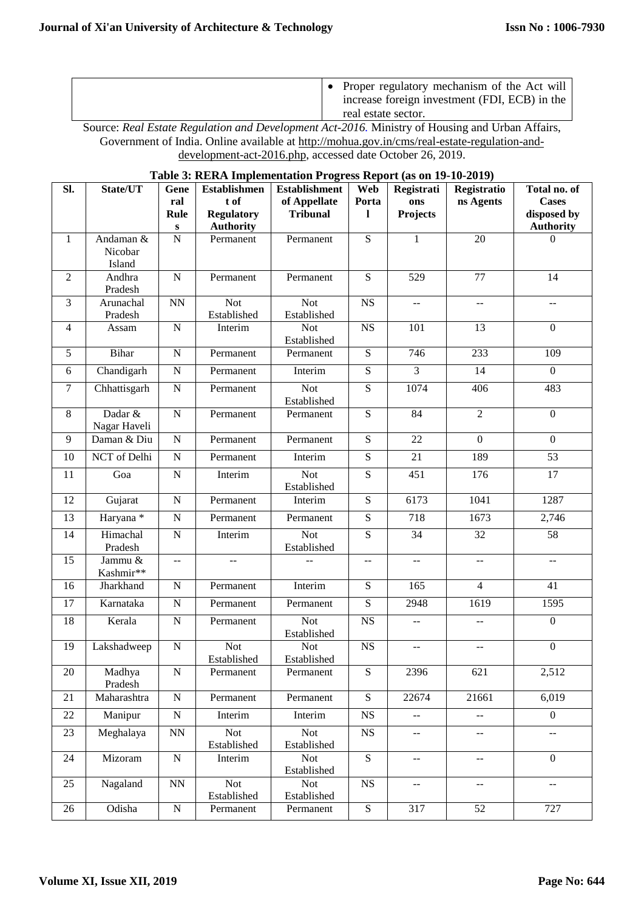| Proper regulatory mechanism of the Act will<br>increase foreign investment (FDI, ECB) in the<br>real estate sector. |
|---------------------------------------------------------------------------------------------------------------------|
|                                                                                                                     |

Source: *Real Estate Regulation and Development Act-2016.* Ministry of Housing and Urban Affairs, Government of India. Online available at [http://mohua.gov.in/cms/real-estate-regulation-and](http://mohua.gov.in/cms/real-estate-regulation-and-development-act-2016.php)[development-act-2016.php,](http://mohua.gov.in/cms/real-estate-regulation-and-development-act-2016.php) accessed date October 26, 2019.

## **Table 3: RERA Implementation Progress Report (as on 19-10-2019)**

| SI.            | State/UT                | Gene<br>ral                                   | <b>Establishmen</b><br>t of | <b>Establishment</b><br>of Appellate | Web<br>Porta   | Registrati<br>ons                             | Registratio<br>ns Agents    | Total no. of<br><b>Cases</b>                  |
|----------------|-------------------------|-----------------------------------------------|-----------------------------|--------------------------------------|----------------|-----------------------------------------------|-----------------------------|-----------------------------------------------|
|                |                         | Rule                                          | <b>Regulatory</b>           | <b>Tribunal</b>                      | 1              | Projects                                      |                             | disposed by                                   |
|                |                         | ${\bf S}$                                     | <b>Authority</b>            |                                      |                |                                               |                             | <b>Authority</b>                              |
| $\mathbf{1}$   | Andaman &               | $\overline{N}$                                | Permanent                   | Permanent                            | $\overline{S}$ | 1                                             | $\overline{20}$             | $\Omega$                                      |
|                | Nicobar<br>Island       |                                               |                             |                                      |                |                                               |                             |                                               |
| $\overline{2}$ | Andhra                  | ${\bf N}$                                     | Permanent                   | Permanent                            | S              | 529                                           | 77                          | 14                                            |
|                | Pradesh                 |                                               |                             |                                      |                |                                               |                             |                                               |
| $\mathfrak{Z}$ | Arunachal<br>Pradesh    | $\mathbf{N}\mathbf{N}$                        | <b>Not</b><br>Established   | <b>Not</b><br>Established            | NS             | $\overline{\phantom{a}}$                      | $\overline{\phantom{a}}$    | $\overline{\phantom{a}}$                      |
| 4              | Assam                   | ${\bf N}$                                     | Interim                     | <b>Not</b><br>Established            | NS             | 101                                           | 13                          | $\boldsymbol{0}$                              |
| 5              | Bihar                   | ${\bf N}$                                     | Permanent                   | Permanent                            | $\overline{S}$ | 746                                           | 233                         | 109                                           |
| 6              | Chandigarh              | $\overline{N}$                                | Permanent                   | Interim                              | $\overline{S}$ | $\overline{3}$                                | $\overline{14}$             | $\overline{0}$                                |
| $\tau$         | Chhattisgarh            | ${\bf N}$                                     | Permanent                   | <b>Not</b><br>Established            | S              | 1074                                          | 406                         | 483                                           |
| $\,8\,$        | Dadar &<br>Nagar Haveli | ${\bf N}$                                     | Permanent                   | Permanent                            | $\overline{S}$ | $\overline{84}$                               | $\overline{2}$              | $\boldsymbol{0}$                              |
| 9              | Daman & Diu             | ${\bf N}$                                     | Permanent                   | Permanent                            | S              | 22                                            | $\boldsymbol{0}$            | $\boldsymbol{0}$                              |
| 10             | NCT of Delhi            | ${\bf N}$                                     | Permanent                   | Interim                              | $\overline{S}$ | $\overline{21}$                               | 189                         | $\overline{53}$                               |
| 11             | Goa                     | ${\bf N}$                                     | Interim                     | <b>Not</b><br>Established            | S              | 451                                           | 176                         | 17                                            |
| 12             | Gujarat                 | ${\bf N}$                                     | Permanent                   | Interim                              | S              | 6173                                          | 1041                        | 1287                                          |
| 13             | Haryana *               | ${\bf N}$                                     | Permanent                   | Permanent                            | ${\bf S}$      | 718                                           | 1673                        | 2,746                                         |
| 14             | Himachal<br>Pradesh     | ${\bf N}$                                     | Interim                     | <b>Not</b><br>Established            | S              | 34                                            | 32                          | 58                                            |
| 15             | Jammu &<br>Kashmir**    | $\mathord{\hspace{1pt}\text{--}\hspace{1pt}}$ | --                          |                                      | $-$            | $- -$                                         | --                          | $\mathord{\hspace{1pt}\text{--}\hspace{1pt}}$ |
| 16             | Jharkhand               | ${\bf N}$                                     | Permanent                   | Interim                              | S              | 165                                           | $\overline{4}$              | 41                                            |
| 17             | Karnataka               | ${\bf N}$                                     | Permanent                   | Permanent                            | S              | 2948                                          | 1619                        | 1595                                          |
| 18             | Kerala                  | ${\bf N}$                                     | Permanent                   | <b>Not</b><br>Established            | $_{\rm NS}$    | $\overline{a}$                                | $\overline{a}$              | $\boldsymbol{0}$                              |
| 19             | Lakshadweep             | ${\bf N}$                                     | <b>Not</b><br>Established   | <b>Not</b><br>Established            | <b>NS</b>      | --                                            | --                          | $\boldsymbol{0}$                              |
| 20             | Madhya<br>Pradesh       | $\overline{\text{N}}$                         | Permanent                   | Permanent                            | $\overline{S}$ | 2396                                          | 621                         | 2,512                                         |
| 21             | Maharashtra             | ${\bf N}$                                     | Permanent                   | Permanent                            | $\overline{S}$ | 22674                                         | 21661                       | 6,019                                         |
| 22             | Manipur                 | ${\bf N}$                                     | Interim                     | Interim                              | $_{\rm NS}$    | 44                                            | 44                          | $\overline{0}$                                |
| 23             | Meghalaya               | $\mathbf{N}\mathbf{N}$                        | Not<br>Established          | Not<br>Established                   | $_{\rm NS}$    | --                                            | --                          | $\overline{\phantom{a}}$                      |
| 24             | Mizoram                 | ${\bf N}$                                     | Interim                     | Not<br>Established                   | S              | $\mathord{\hspace{1pt}\text{--}\hspace{1pt}}$ | $\mathcal{L}_{\mathcal{F}}$ | $\overline{0}$                                |
| 25             | Nagaland                | $\rm NN$                                      | <b>Not</b><br>Established   | <b>Not</b><br>Established            | $_{\rm NS}$    | $\overline{\phantom{a}}$                      | $\overline{\phantom{a}}$    | --                                            |
| 26             | Odisha                  | ${\bf N}$                                     | Permanent                   | Permanent                            | ${\bf S}$      | 317                                           | 52                          | 727                                           |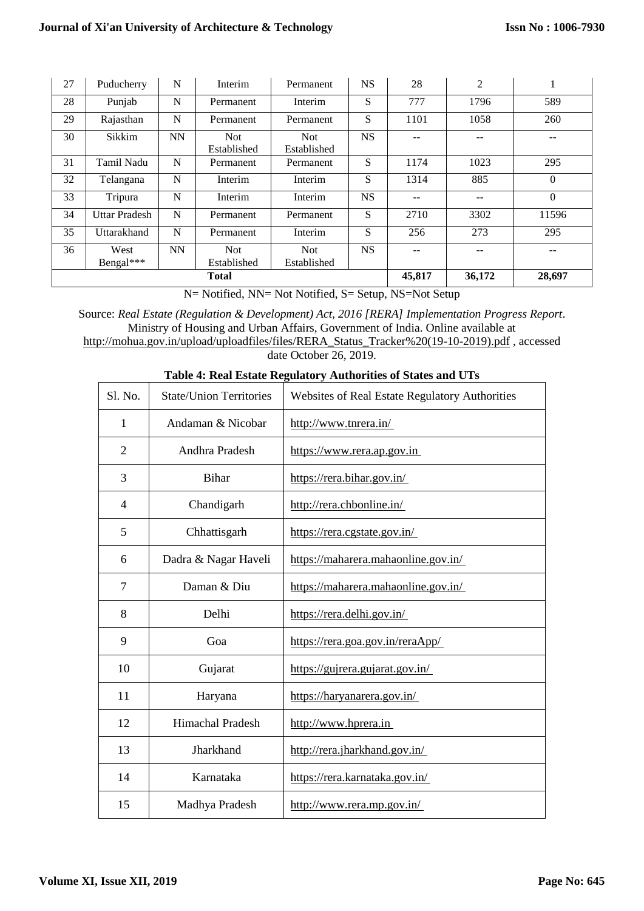| 27           | Puducherry           | N         | Interim                   | <b>Permanent</b>   | <b>NS</b> | 28     | 2      | $\bf{l}$ |
|--------------|----------------------|-----------|---------------------------|--------------------|-----------|--------|--------|----------|
| 28           | Punjab               | N         | Permanent                 | Interim            | S         | 777    | 1796   | 589      |
| 29           | Rajasthan            | N         | Permanent                 | Permanent          | S         | 1101   | 1058   | 260      |
| 30           | Sikkim               | <b>NN</b> | <b>Not</b><br>Established | Not<br>Established | <b>NS</b> |        |        |          |
| 31           | Tamil Nadu           | N         | Permanent                 | Permanent          | S         | 1174   | 1023   | 295      |
| 32           | Telangana            | N         | Interim                   | Interim            | S         | 1314   | 885    | $\Omega$ |
| 33           | Tripura              | N         | Interim                   | Interim            | <b>NS</b> | $- -$  | --     | $\Omega$ |
| 34           | <b>Uttar Pradesh</b> | N         | Permanent                 | Permanent          | S         | 2710   | 3302   | 11596    |
| 35           | Uttarakhand          | N         | Permanent                 | Interim            | S         | 256    | 273    | 295      |
| 36           | West<br>Bengal***    | <b>NN</b> | <b>Not</b><br>Established | Not<br>Established | <b>NS</b> | --     |        |          |
| <b>Total</b> |                      |           |                           |                    | 45,817    | 36,172 | 28,697 |          |

N= Notified, NN= Not Notified, S= Setup, NS=Not Setup

Source: *Real Estate (Regulation & Development) Act, 2016 [RERA] Implementation Progress Report*. Ministry of Housing and Urban Affairs, Government of India. Online available at [http://mohua.gov.in/upload/uploadfiles/files/RERA\\_Status\\_Tracker%20\(19-10-2019\).pdf](http://mohua.gov.in/upload/uploadfiles/files/RERA_Status_Tracker%20(19-10-2019).pdf) , accessed date October 26, 2019.

| S1. No.        | <b>State/Union Territories</b> | Websites of Real Estate Regulatory Authorities |
|----------------|--------------------------------|------------------------------------------------|
| 1              | Andaman & Nicobar              | http://www.tnrera.in/                          |
| 2              | Andhra Pradesh                 | https://www.rera.ap.gov.in                     |
| 3              | <b>Bihar</b>                   | https://rera.bihar.gov.in/                     |
| $\overline{4}$ | Chandigarh                     | http://rera.chbonline.in/                      |
| 5              | Chhattisgarh                   | https://rera.cgstate.gov.in/                   |
| 6              | Dadra & Nagar Haveli           | https://maharera.mahaonline.gov.in/            |
| 7              | Daman & Diu                    | https://maharera.mahaonline.gov.in/            |
| 8              | Delhi                          | https://rera.delhi.gov.in/                     |
| 9              | Goa                            | https://rera.goa.gov.in/reraApp/               |
| 10             | Gujarat                        | https://gujrera.gujarat.gov.in/                |
| 11             | Haryana                        | https://haryanarera.gov.in/                    |
| 12             | <b>Himachal Pradesh</b>        | http://www.hprera.in                           |
| 13             | Jharkhand                      | http://rera.jharkhand.gov.in/                  |
| 14             | Karnataka                      | https://rera.karnataka.gov.in/                 |
| 15             | Madhya Pradesh                 | http://www.rera.mp.gov.in/                     |

# **Table 4: Real Estate Regulatory Authorities of States and UTs**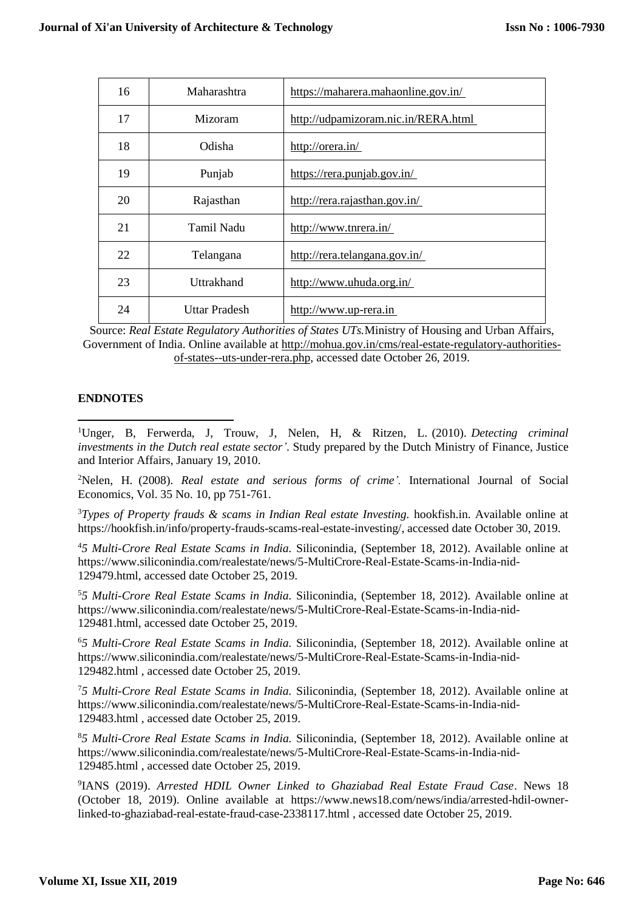| 16 | Maharashtra   | https://maharera.mahaonline.gov.in/ |
|----|---------------|-------------------------------------|
| 17 | Mizoram       | http://udpamizoram.nic.in/RERA.html |
| 18 | Odisha        | http://orera.in/                    |
| 19 | Punjab        | https://rera.punjab.gov.in/         |
| 20 | Rajasthan     | http://rera.rajasthan.gov.in/       |
| 21 | Tamil Nadu    | http://www.tnrera.in/               |
| 22 | Telangana     | http://rera.telangana.gov.in/       |
| 23 | Uttrakhand    | http://www.uhuda.org.in/            |
| 24 | Uttar Pradesh | http://www.up-rera.in               |

Source: *Real Estate Regulatory Authorities of States UTs.*Ministry of Housing and Urban Affairs, Government of India. Online available at [http://mohua.gov.in/cms/real-estate-regulatory-authorities](http://mohua.gov.in/cms/real-estate-regulatory-authorities-of-states--uts-under-rera.php)[of-states--uts-under-rera.php,](http://mohua.gov.in/cms/real-estate-regulatory-authorities-of-states--uts-under-rera.php) accessed date October 26, 2019.

# **ENDNOTES**

**.** 

<sup>1</sup>Unger, B, Ferwerda, J, Trouw, J, Nelen, H, & Ritzen, L. (2010). *Detecting criminal investments in the Dutch real estate sector'*. Study prepared by the Dutch Ministry of Finance, Justice and Interior Affairs, January 19, 2010.

<sup>2</sup>Nelen, H. (2008). *Real estate and serious forms of crime'.* International Journal of Social Economics, Vol. 35 No. 10, pp 751-761.

<sup>3</sup>Types of Property frauds & scams in Indian Real estate Investing. hookfish.in. Available online at [https://hookfish.in/info/property-frauds-scams-real-estate-investing/,](https://hookfish.in/info/property-frauds-scams-real-estate-investing/) accessed date October 30, 2019.

<sup>4</sup>*5 Multi-Crore Real Estate Scams in India.* Siliconindia, (September 18, 2012). Available online at [https://www.siliconindia.com/realestate/news/5-MultiCrore-Real-Estate-Scams-in-India-nid-](https://www.siliconindia.com/realestate/news/5-MultiCrore-Real-Estate-Scams-in-India-nid-129479.html)[129479.html,](https://www.siliconindia.com/realestate/news/5-MultiCrore-Real-Estate-Scams-in-India-nid-129479.html) accessed date October 25, 2019.

<sup>5</sup>*5 Multi-Crore Real Estate Scams in India.* Siliconindia, (September 18, 2012). Available online at [https://www.siliconindia.com/realestate/news/5-MultiCrore-Real-Estate-Scams-in-India-nid-](https://www.siliconindia.com/realestate/news/5-MultiCrore-Real-Estate-Scams-in-India-nid-129481.html)[129481.html,](https://www.siliconindia.com/realestate/news/5-MultiCrore-Real-Estate-Scams-in-India-nid-129481.html) accessed date October 25, 2019.

<sup>6</sup>*5 Multi-Crore Real Estate Scams in India.* Siliconindia, (September 18, 2012). Available online at [https://www.siliconindia.com/realestate/news/5-MultiCrore-Real-Estate-Scams-in-India-nid-](https://www.siliconindia.com/realestate/news/5-MultiCrore-Real-Estate-Scams-in-India-nid-129482.html)[129482.html](https://www.siliconindia.com/realestate/news/5-MultiCrore-Real-Estate-Scams-in-India-nid-129482.html) , accessed date October 25, 2019.

<sup>7</sup>*5 Multi-Crore Real Estate Scams in India.* Siliconindia, (September 18, 2012). Available online at [https://www.siliconindia.com/realestate/news/5-MultiCrore-Real-Estate-Scams-in-India-nid-](https://www.siliconindia.com/realestate/news/5-MultiCrore-Real-Estate-Scams-in-India-nid-129483.html)[129483.html](https://www.siliconindia.com/realestate/news/5-MultiCrore-Real-Estate-Scams-in-India-nid-129483.html) , accessed date October 25, 2019.

<sup>8</sup>*5 Multi-Crore Real Estate Scams in India.* Siliconindia, (September 18, 2012). Available online at [https://www.siliconindia.com/realestate/news/5-MultiCrore-Real-Estate-Scams-in-India-nid-](https://www.siliconindia.com/realestate/news/5-MultiCrore-Real-Estate-Scams-in-India-nid-129485.html)[129485.html](https://www.siliconindia.com/realestate/news/5-MultiCrore-Real-Estate-Scams-in-India-nid-129485.html) , accessed date October 25, 2019.

9 IANS (2019). *Arrested HDIL Owner Linked to Ghaziabad Real Estate Fraud Case*. News 18 (October 18, 2019). Online available at [https://www.news18.com/news/india/arrested-hdil-owner](https://www.news18.com/news/india/arrested-hdil-owner-linked-to-ghaziabad-real-estate-fraud-case-2338117.html)[linked-to-ghaziabad-real-estate-fraud-case-2338117.html](https://www.news18.com/news/india/arrested-hdil-owner-linked-to-ghaziabad-real-estate-fraud-case-2338117.html) , accessed date October 25, 2019.